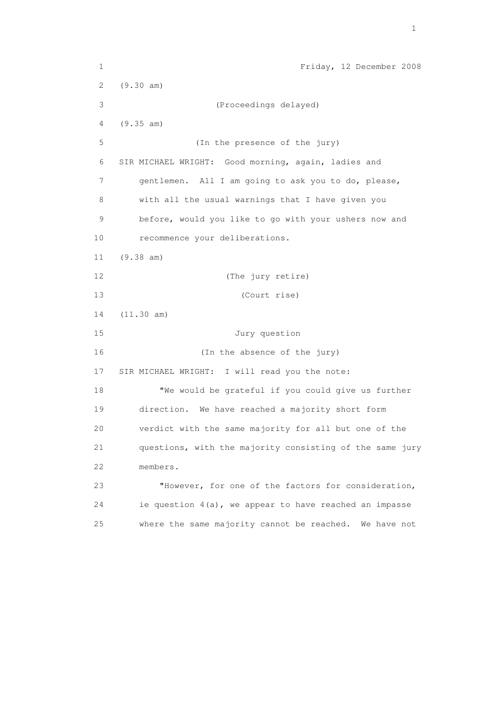1 Friday, 12 December 2008 2 (9.30 am) 3 (Proceedings delayed) 4 (9.35 am) 5 (In the presence of the jury) 6 SIR MICHAEL WRIGHT: Good morning, again, ladies and 7 gentlemen. All I am going to ask you to do, please, 8 with all the usual warnings that I have given you 9 before, would you like to go with your ushers now and 10 recommence your deliberations. 11 (9.38 am) 12 (The jury retire) 13 (Court rise) 14 (11.30 am) 15 Jury question 16 (In the absence of the jury) 17 SIR MICHAEL WRIGHT: I will read you the note: 18 "We would be grateful if you could give us further 19 direction. We have reached a majority short form 20 verdict with the same majority for all but one of the 21 questions, with the majority consisting of the same jury 22 members. 23 "However, for one of the factors for consideration, 24 ie question 4(a), we appear to have reached an impasse 25 where the same majority cannot be reached. We have not

the contract of the contract of the contract of the contract of the contract of the contract of the contract of the contract of the contract of the contract of the contract of the contract of the contract of the contract o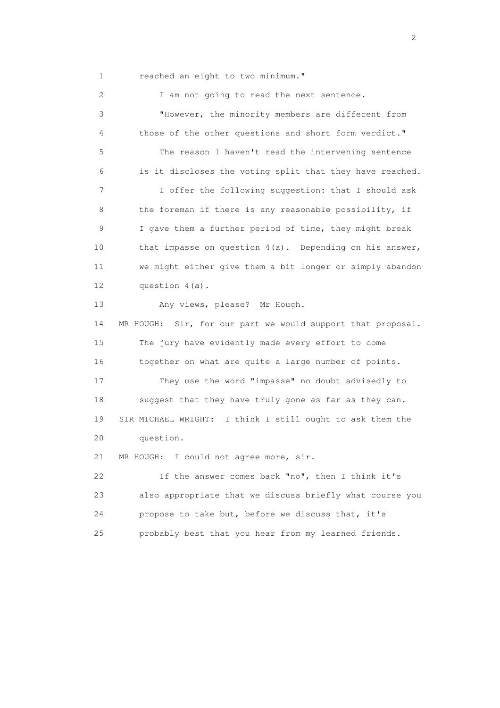1 reached an eight to two minimum."

2 I am not going to read the next sentence. 3 "However, the minority members are different from 4 those of the other questions and short form verdict." 5 The reason I haven't read the intervening sentence 6 is it discloses the voting split that they have reached. 7 I offer the following suggestion: that I should ask 8 the foreman if there is any reasonable possibility, if 9 I gave them a further period of time, they might break 10 that impasse on question 4(a). Depending on his answer, 11 we might either give them a bit longer or simply abandon 12 question 4(a). 13 Any views, please? Mr Hough. 14 MR HOUGH: Sir, for our part we would support that proposal. 15 The jury have evidently made every effort to come 16 together on what are quite a large number of points. 17 They use the word "impasse" no doubt advisedly to 18 suggest that they have truly gone as far as they can. 19 SIR MICHAEL WRIGHT: I think I still ought to ask them the 20 question. 21 MR HOUGH: I could not agree more, sir. 22 If the answer comes back "no", then I think it's 23 also appropriate that we discuss briefly what course you 24 propose to take but, before we discuss that, it's 25 probably best that you hear from my learned friends.

 $\overline{2}$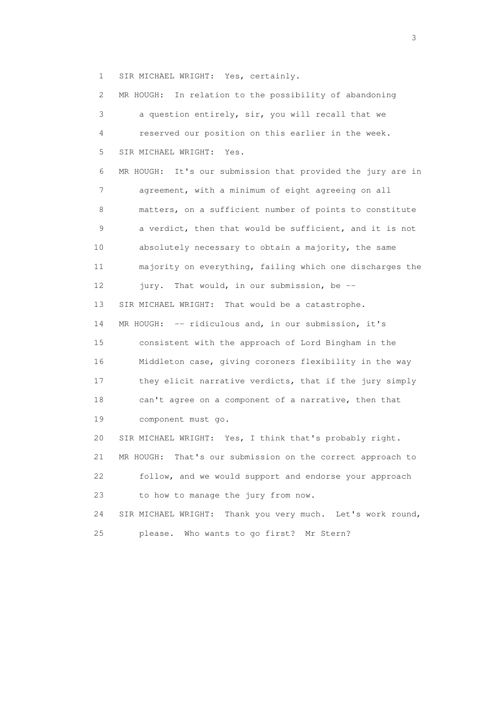1 SIR MICHAEL WRIGHT: Yes, certainly.

 2 MR HOUGH: In relation to the possibility of abandoning 3 a question entirely, sir, you will recall that we 4 reserved our position on this earlier in the week. 5 SIR MICHAEL WRIGHT: Yes. 6 MR HOUGH: It's our submission that provided the jury are in 7 agreement, with a minimum of eight agreeing on all 8 matters, on a sufficient number of points to constitute 9 a verdict, then that would be sufficient, and it is not 10 absolutely necessary to obtain a majority, the same 11 majority on everything, failing which one discharges the 12 jury. That would, in our submission, be -- 13 SIR MICHAEL WRIGHT: That would be a catastrophe. 14 MR HOUGH: -- ridiculous and, in our submission, it's 15 consistent with the approach of Lord Bingham in the 16 Middleton case, giving coroners flexibility in the way 17 they elicit narrative verdicts, that if the jury simply 18 can't agree on a component of a narrative, then that 19 component must go. 20 SIR MICHAEL WRIGHT: Yes, I think that's probably right. 21 MR HOUGH: That's our submission on the correct approach to 22 follow, and we would support and endorse your approach 23 to how to manage the jury from now. 24 SIR MICHAEL WRIGHT: Thank you very much. Let's work round, 25 please. Who wants to go first? Mr Stern?

 $\sim$  3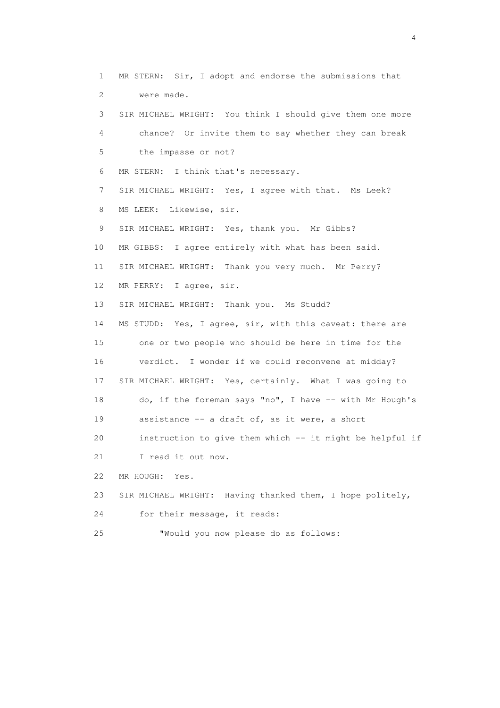1 MR STERN: Sir, I adopt and endorse the submissions that 2 were made. 3 SIR MICHAEL WRIGHT: You think I should give them one more 4 chance? Or invite them to say whether they can break 5 the impasse or not? 6 MR STERN: I think that's necessary. 7 SIR MICHAEL WRIGHT: Yes, I agree with that. Ms Leek? 8 MS LEEK: Likewise, sir. 9 SIR MICHAEL WRIGHT: Yes, thank you. Mr Gibbs? 10 MR GIBBS: I agree entirely with what has been said. 11 SIR MICHAEL WRIGHT: Thank you very much. Mr Perry? 12 MR PERRY: I agree, sir. 13 SIR MICHAEL WRIGHT: Thank you. Ms Studd? 14 MS STUDD: Yes, I agree, sir, with this caveat: there are 15 one or two people who should be here in time for the 16 verdict. I wonder if we could reconvene at midday? 17 SIR MICHAEL WRIGHT: Yes, certainly. What I was going to 18 do, if the foreman says "no", I have -- with Mr Hough's 19 assistance -- a draft of, as it were, a short 20 instruction to give them which -- it might be helpful if 21 I read it out now. 22 MR HOUGH: Yes. 23 SIR MICHAEL WRIGHT: Having thanked them, I hope politely, 24 for their message, it reads: 25 "Would you now please do as follows: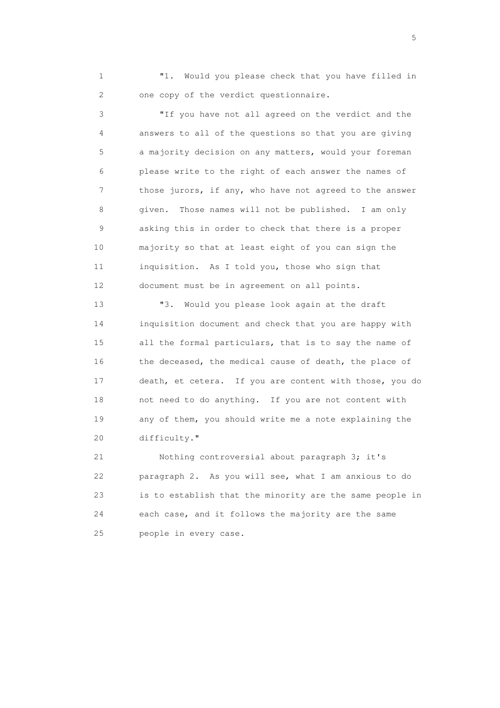1 "1. Would you please check that you have filled in 2 one copy of the verdict questionnaire.

 3 "If you have not all agreed on the verdict and the 4 answers to all of the questions so that you are giving 5 a majority decision on any matters, would your foreman 6 please write to the right of each answer the names of 7 those jurors, if any, who have not agreed to the answer 8 given. Those names will not be published. I am only 9 asking this in order to check that there is a proper 10 majority so that at least eight of you can sign the 11 inquisition. As I told you, those who sign that 12 document must be in agreement on all points.

 13 "3. Would you please look again at the draft 14 inquisition document and check that you are happy with 15 all the formal particulars, that is to say the name of 16 the deceased, the medical cause of death, the place of 17 death, et cetera. If you are content with those, you do 18 not need to do anything. If you are not content with 19 any of them, you should write me a note explaining the 20 difficulty."

 21 Nothing controversial about paragraph 3; it's 22 paragraph 2. As you will see, what I am anxious to do 23 is to establish that the minority are the same people in 24 each case, and it follows the majority are the same 25 people in every case.

 $\sim$  5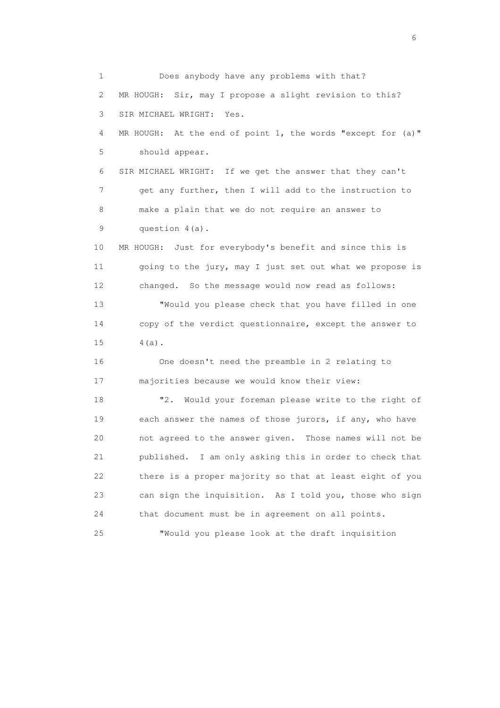1 Does anybody have any problems with that? 2 MR HOUGH: Sir, may I propose a slight revision to this? 3 SIR MICHAEL WRIGHT: Yes. 4 MR HOUGH: At the end of point 1, the words "except for (a)" 5 should appear. 6 SIR MICHAEL WRIGHT: If we get the answer that they can't 7 get any further, then I will add to the instruction to 8 make a plain that we do not require an answer to 9 question 4(a). 10 MR HOUGH: Just for everybody's benefit and since this is 11 going to the jury, may I just set out what we propose is 12 changed. So the message would now read as follows: 13 "Would you please check that you have filled in one 14 copy of the verdict questionnaire, except the answer to 15 4(a). 16 One doesn't need the preamble in 2 relating to 17 majorities because we would know their view: 18 "2. Would your foreman please write to the right of 19 each answer the names of those jurors, if any, who have 20 not agreed to the answer given. Those names will not be 21 published. I am only asking this in order to check that 22 there is a proper majority so that at least eight of you 23 can sign the inquisition. As I told you, those who sign 24 that document must be in agreement on all points. 25 "Would you please look at the draft inquisition

 $\sim$  6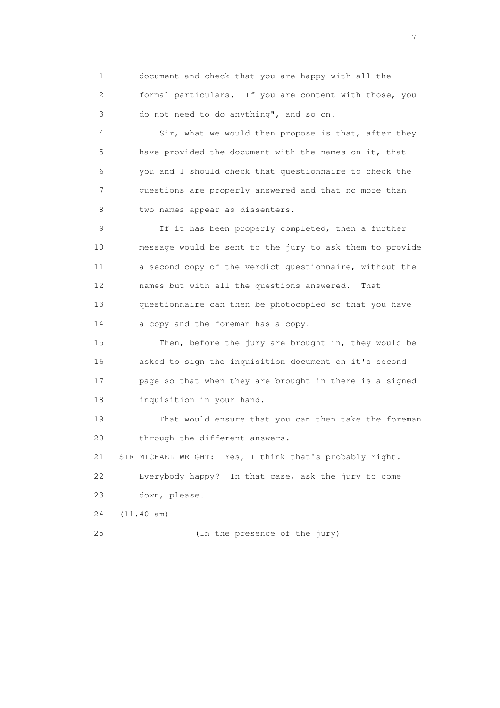1 document and check that you are happy with all the 2 formal particulars. If you are content with those, you 3 do not need to do anything", and so on.

 4 Sir, what we would then propose is that, after they 5 have provided the document with the names on it, that 6 you and I should check that questionnaire to check the 7 questions are properly answered and that no more than 8 two names appear as dissenters.

 9 If it has been properly completed, then a further 10 message would be sent to the jury to ask them to provide 11 a second copy of the verdict questionnaire, without the 12 names but with all the questions answered. That 13 questionnaire can then be photocopied so that you have 14 a copy and the foreman has a copy.

 15 Then, before the jury are brought in, they would be 16 asked to sign the inquisition document on it's second 17 page so that when they are brought in there is a signed 18 inquisition in your hand.

 19 That would ensure that you can then take the foreman 20 through the different answers.

 21 SIR MICHAEL WRIGHT: Yes, I think that's probably right. 22 Everybody happy? In that case, ask the jury to come 23 down, please.

24 (11.40 am)

25 (In the presence of the jury)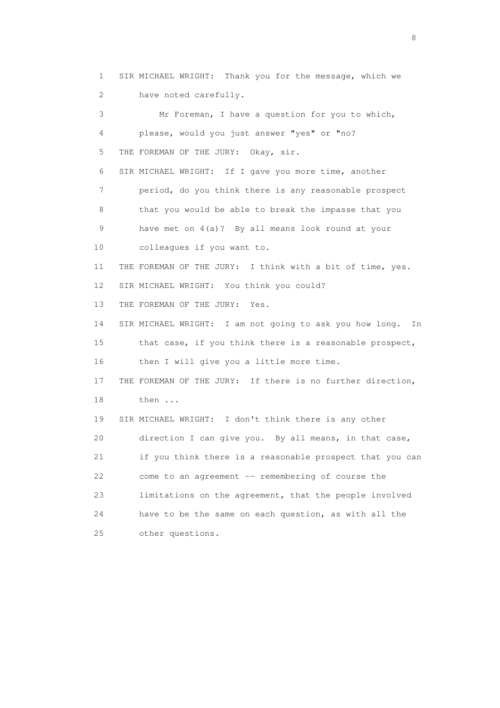1 SIR MICHAEL WRIGHT: Thank you for the message, which we 2 have noted carefully. 3 Mr Foreman, I have a question for you to which, 4 please, would you just answer "yes" or "no? 5 THE FOREMAN OF THE JURY: Okay, sir. 6 SIR MICHAEL WRIGHT: If I gave you more time, another 7 period, do you think there is any reasonable prospect 8 that you would be able to break the impasse that you 9 have met on 4(a)? By all means look round at your 10 colleagues if you want to. 11 THE FOREMAN OF THE JURY: I think with a bit of time, yes. 12 SIR MICHAEL WRIGHT: You think you could? 13 THE FOREMAN OF THE JURY: Yes. 14 SIR MICHAEL WRIGHT: I am not going to ask you how long. In 15 that case, if you think there is a reasonable prospect, 16 then I will give you a little more time. 17 THE FOREMAN OF THE JURY: If there is no further direction, 18 then ... 19 SIR MICHAEL WRIGHT: I don't think there is any other 20 direction I can give you. By all means, in that case, 21 if you think there is a reasonable prospect that you can 22 come to an agreement -- remembering of course the 23 limitations on the agreement, that the people involved 24 have to be the same on each question, as with all the 25 other questions.

en andere de la provincia de la provincia de la provincia de la provincia de la provincia de la provincia del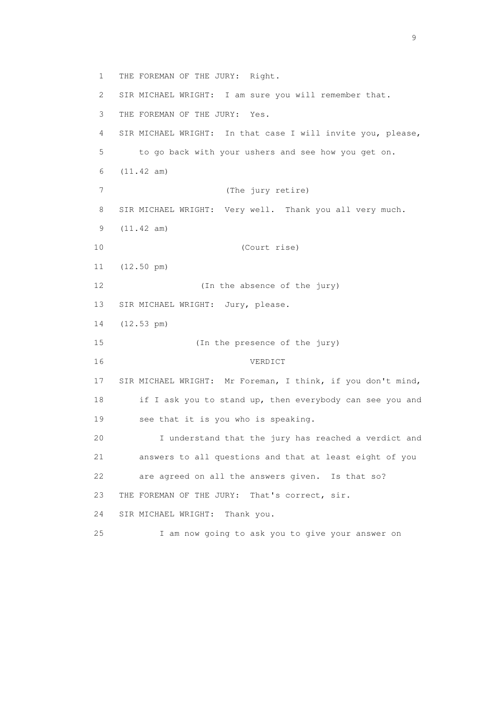1 THE FOREMAN OF THE JURY: Right. 2 SIR MICHAEL WRIGHT: I am sure you will remember that. 3 THE FOREMAN OF THE JURY: Yes. 4 SIR MICHAEL WRIGHT: In that case I will invite you, please, 5 to go back with your ushers and see how you get on. 6 (11.42 am) 7 (The jury retire) 8 SIR MICHAEL WRIGHT: Very well. Thank you all very much. 9 (11.42 am) 10 (Court rise) 11 (12.50 pm) 12 (In the absence of the jury) 13 SIR MICHAEL WRIGHT: Jury, please. 14 (12.53 pm) 15 (In the presence of the jury) 16 VERDICT 17 SIR MICHAEL WRIGHT: Mr Foreman, I think, if you don't mind, 18 if I ask you to stand up, then everybody can see you and 19 see that it is you who is speaking. 20 I understand that the jury has reached a verdict and 21 answers to all questions and that at least eight of you 22 are agreed on all the answers given. Is that so? 23 THE FOREMAN OF THE JURY: That's correct, sir. 24 SIR MICHAEL WRIGHT: Thank you. 25 I am now going to ask you to give your answer on

en de la provincia de la provincia de la provincia de la provincia de la provincia de la provincia de la provi<br>1900 : la provincia de la provincia de la provincia de la provincia de la provincia de la provincia de la prov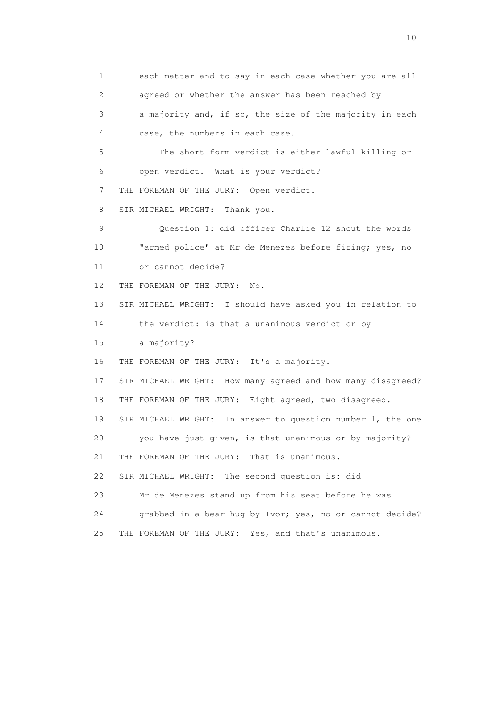1 each matter and to say in each case whether you are all 2 agreed or whether the answer has been reached by 3 a majority and, if so, the size of the majority in each 4 case, the numbers in each case. 5 The short form verdict is either lawful killing or 6 open verdict. What is your verdict? 7 THE FOREMAN OF THE JURY: Open verdict. 8 SIR MICHAEL WRIGHT: Thank you. 9 Question 1: did officer Charlie 12 shout the words 10 "armed police" at Mr de Menezes before firing; yes, no 11 or cannot decide? 12 THE FOREMAN OF THE JURY: No. 13 SIR MICHAEL WRIGHT: I should have asked you in relation to 14 the verdict: is that a unanimous verdict or by 15 a majority? 16 THE FOREMAN OF THE JURY: It's a majority. 17 SIR MICHAEL WRIGHT: How many agreed and how many disagreed? 18 THE FOREMAN OF THE JURY: Eight agreed, two disagreed. 19 SIR MICHAEL WRIGHT: In answer to question number 1, the one 20 you have just given, is that unanimous or by majority? 21 THE FOREMAN OF THE JURY: That is unanimous. 22 SIR MICHAEL WRIGHT: The second question is: did 23 Mr de Menezes stand up from his seat before he was 24 grabbed in a bear hug by Ivor; yes, no or cannot decide? 25 THE FOREMAN OF THE JURY: Yes, and that's unanimous.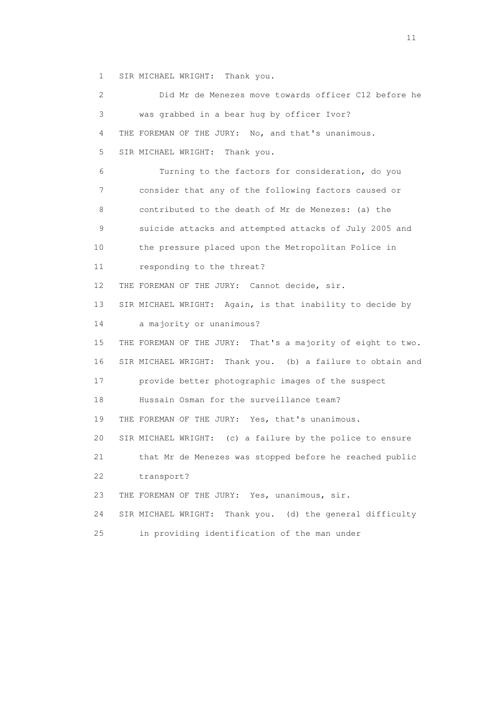1 SIR MICHAEL WRIGHT: Thank you.

| 2  | Did Mr de Menezes move towards officer C12 before he         |
|----|--------------------------------------------------------------|
| 3  | was grabbed in a bear hug by officer Ivor?                   |
| 4  | THE FOREMAN OF THE JURY: No, and that's unanimous.           |
| 5  | SIR MICHAEL WRIGHT: Thank you.                               |
| 6  | Turning to the factors for consideration, do you             |
| 7  | consider that any of the following factors caused or         |
| 8  | contributed to the death of Mr de Menezes: (a) the           |
| 9  | suicide attacks and attempted attacks of July 2005 and       |
| 10 | the pressure placed upon the Metropolitan Police in          |
| 11 | responding to the threat?                                    |
| 12 | THE FOREMAN OF THE JURY: Cannot decide, sir.                 |
| 13 | SIR MICHAEL WRIGHT: Again, is that inability to decide by    |
| 14 | a majority or unanimous?                                     |
| 15 | THE FOREMAN OF THE JURY: That's a majority of eight to two.  |
| 16 | SIR MICHAEL WRIGHT: Thank you. (b) a failure to obtain and   |
| 17 | provide better photographic images of the suspect            |
| 18 | Hussain Osman for the surveillance team?                     |
| 19 | THE FOREMAN OF THE JURY: Yes, that's unanimous.              |
| 20 | SIR MICHAEL WRIGHT: (c) a failure by the police to ensure    |
| 21 | that Mr de Menezes was stopped before he reached public      |
| 22 | transport?                                                   |
| 23 | THE FOREMAN OF THE JURY: Yes, unanimous, sir.                |
| 24 | Thank you. (d) the general difficulty<br>SIR MICHAEL WRIGHT: |
| 25 | in providing identification of the man under                 |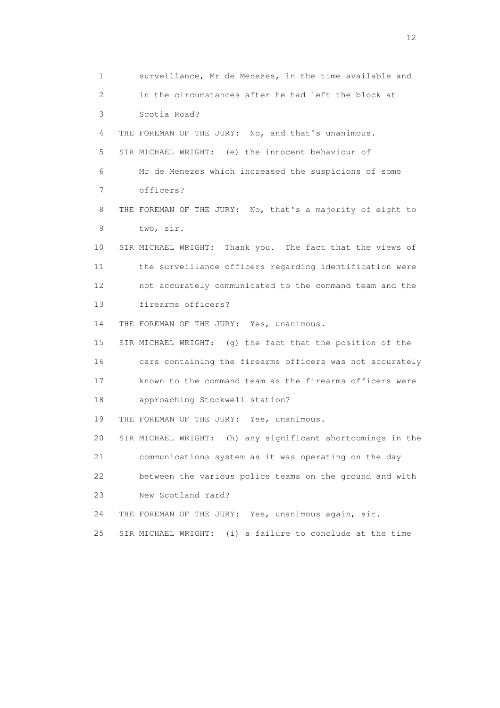1 surveillance, Mr de Menezes, in the time available and 2 in the circumstances after he had left the block at 3 Scotia Road? 4 THE FOREMAN OF THE JURY: No, and that's unanimous. 5 SIR MICHAEL WRIGHT: (e) the innocent behaviour of 6 Mr de Menezes which increased the suspicions of some 7 officers? 8 THE FOREMAN OF THE JURY: No, that's a majority of eight to 9 two, sir. 10 SIR MICHAEL WRIGHT: Thank you. The fact that the views of 11 the surveillance officers regarding identification were 12 not accurately communicated to the command team and the 13 firearms officers? 14 THE FOREMAN OF THE JURY: Yes, unanimous. 15 SIR MICHAEL WRIGHT: (g) the fact that the position of the 16 cars containing the firearms officers was not accurately 17 known to the command team as the firearms officers were 18 approaching Stockwell station? 19 THE FOREMAN OF THE JURY: Yes, unanimous. 20 SIR MICHAEL WRIGHT: (h) any significant shortcomings in the 21 communications system as it was operating on the day 22 between the various police teams on the ground and with 23 New Scotland Yard? 24 THE FOREMAN OF THE JURY: Yes, unanimous again, sir. 25 SIR MICHAEL WRIGHT: (i) a failure to conclude at the time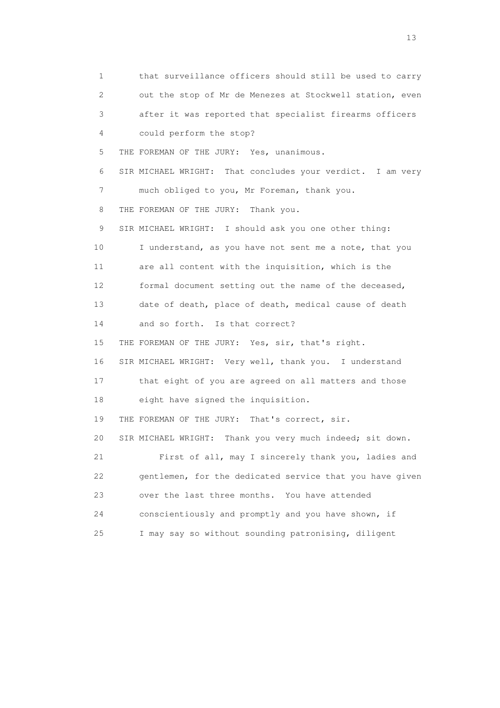1 that surveillance officers should still be used to carry 2 out the stop of Mr de Menezes at Stockwell station, even 3 after it was reported that specialist firearms officers 4 could perform the stop? 5 THE FOREMAN OF THE JURY: Yes, unanimous. 6 SIR MICHAEL WRIGHT: That concludes your verdict. I am very 7 much obliged to you, Mr Foreman, thank you. 8 THE FOREMAN OF THE JURY: Thank you. 9 SIR MICHAEL WRIGHT: I should ask you one other thing: 10 I understand, as you have not sent me a note, that you 11 are all content with the inquisition, which is the 12 formal document setting out the name of the deceased, 13 date of death, place of death, medical cause of death 14 and so forth. Is that correct? 15 THE FOREMAN OF THE JURY: Yes, sir, that's right. 16 SIR MICHAEL WRIGHT: Very well, thank you. I understand 17 that eight of you are agreed on all matters and those 18 eight have signed the inquisition. 19 THE FOREMAN OF THE JURY: That's correct, sir. 20 SIR MICHAEL WRIGHT: Thank you very much indeed; sit down. 21 First of all, may I sincerely thank you, ladies and 22 gentlemen, for the dedicated service that you have given 23 over the last three months. You have attended 24 conscientiously and promptly and you have shown, if 25 I may say so without sounding patronising, diligent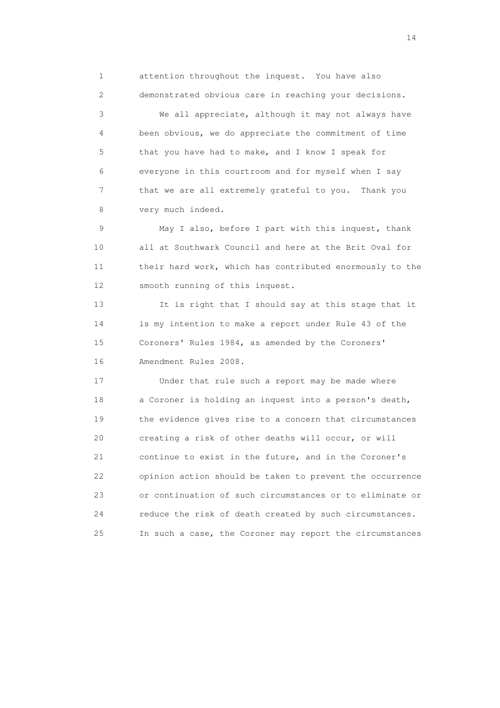1 attention throughout the inquest. You have also 2 demonstrated obvious care in reaching your decisions. 3 We all appreciate, although it may not always have 4 been obvious, we do appreciate the commitment of time 5 that you have had to make, and I know I speak for 6 everyone in this courtroom and for myself when I say 7 that we are all extremely grateful to you. Thank you 8 very much indeed.

 9 May I also, before I part with this inquest, thank 10 all at Southwark Council and here at the Brit Oval for 11 their hard work, which has contributed enormously to the 12 smooth running of this inquest.

 13 It is right that I should say at this stage that it 14 is my intention to make a report under Rule 43 of the 15 Coroners' Rules 1984, as amended by the Coroners' 16 Amendment Rules 2008.

 17 Under that rule such a report may be made where 18 a Coroner is holding an inquest into a person's death, 19 the evidence gives rise to a concern that circumstances 20 creating a risk of other deaths will occur, or will 21 continue to exist in the future, and in the Coroner's 22 opinion action should be taken to prevent the occurrence 23 or continuation of such circumstances or to eliminate or 24 reduce the risk of death created by such circumstances. 25 In such a case, the Coroner may report the circumstances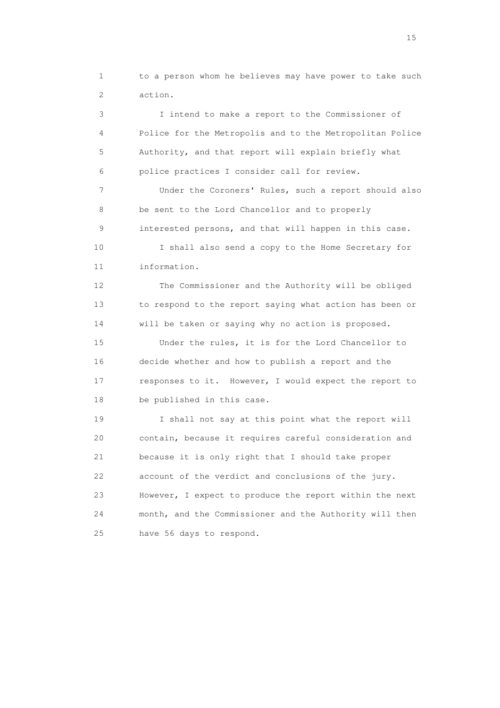1 to a person whom he believes may have power to take such 2 action.

 3 I intend to make a report to the Commissioner of 4 Police for the Metropolis and to the Metropolitan Police 5 Authority, and that report will explain briefly what 6 police practices I consider call for review. 7 Under the Coroners' Rules, such a report should also 8 be sent to the Lord Chancellor and to properly 9 interested persons, and that will happen in this case. 10 I shall also send a copy to the Home Secretary for 11 information. 12 The Commissioner and the Authority will be obliged 13 to respond to the report saying what action has been or 14 will be taken or saying why no action is proposed. 15 Under the rules, it is for the Lord Chancellor to 16 decide whether and how to publish a report and the 17 responses to it. However, I would expect the report to 18 be published in this case.

 19 I shall not say at this point what the report will 20 contain, because it requires careful consideration and 21 because it is only right that I should take proper 22 account of the verdict and conclusions of the jury. 23 However, I expect to produce the report within the next 24 month, and the Commissioner and the Authority will then 25 have 56 days to respond.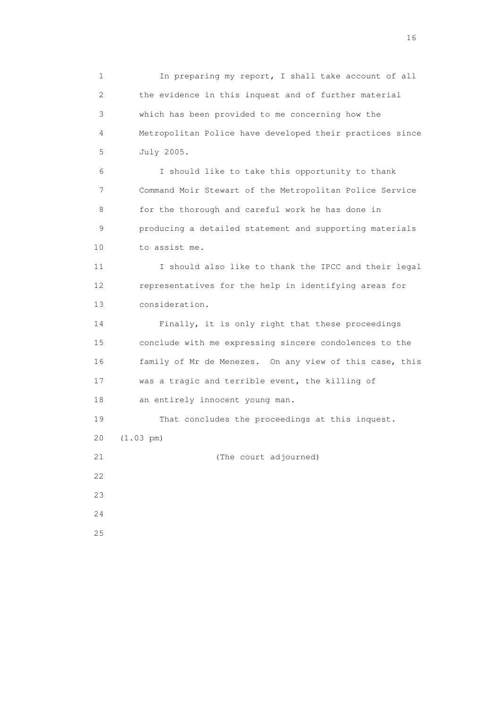1 In preparing my report, I shall take account of all 2 the evidence in this inquest and of further material 3 which has been provided to me concerning how the 4 Metropolitan Police have developed their practices since 5 July 2005.

 6 I should like to take this opportunity to thank 7 Command Moir Stewart of the Metropolitan Police Service 8 for the thorough and careful work he has done in 9 producing a detailed statement and supporting materials 10 to assist me.

 11 I should also like to thank the IPCC and their legal 12 representatives for the help in identifying areas for 13 consideration.

 14 Finally, it is only right that these proceedings 15 conclude with me expressing sincere condolences to the 16 family of Mr de Menezes. On any view of this case, this 17 was a tragic and terrible event, the killing of 18 an entirely innocent young man.

 19 That concludes the proceedings at this inquest. 20 (1.03 pm) 21 (The court adjourned)  $22$ 23

 24 25